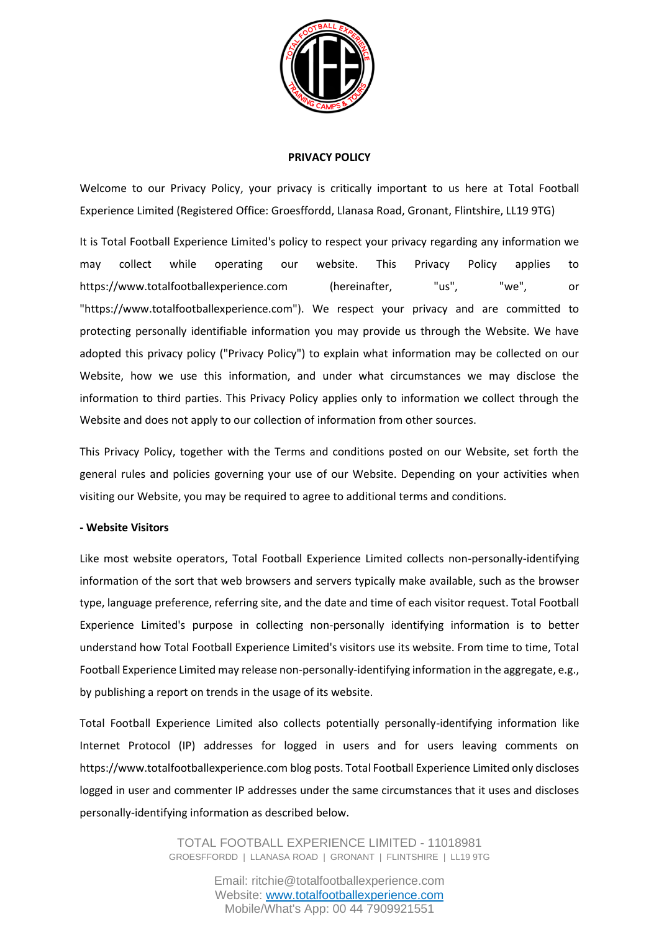

### **PRIVACY POLICY**

Welcome to our Privacy Policy, your privacy is critically important to us here at Total Football Experience Limited (Registered Office: Groesffordd, Llanasa Road, Gronant, Flintshire, LL19 9TG)

It is Total Football Experience Limited's policy to respect your privacy regarding any information we may collect while operating our website. This Privacy Policy applies to https://www.totalfootballexperience.com (hereinafter, "us", "we", or "https://www.totalfootballexperience.com"). We respect your privacy and are committed to protecting personally identifiable information you may provide us through the Website. We have adopted this privacy policy ("Privacy Policy") to explain what information may be collected on our Website, how we use this information, and under what circumstances we may disclose the information to third parties. This Privacy Policy applies only to information we collect through the Website and does not apply to our collection of information from other sources.

This Privacy Policy, together with the Terms and conditions posted on our Website, set forth the general rules and policies governing your use of our Website. Depending on your activities when visiting our Website, you may be required to agree to additional terms and conditions.

# **- Website Visitors**

Like most website operators, Total Football Experience Limited collects non-personally-identifying information of the sort that web browsers and servers typically make available, such as the browser type, language preference, referring site, and the date and time of each visitor request. Total Football Experience Limited's purpose in collecting non-personally identifying information is to better understand how Total Football Experience Limited's visitors use its website. From time to time, Total Football Experience Limited may release non-personally-identifying information in the aggregate, e.g., by publishing a report on trends in the usage of its website.

Total Football Experience Limited also collects potentially personally-identifying information like Internet Protocol (IP) addresses for logged in users and for users leaving comments on https://www.totalfootballexperience.com blog posts. Total Football Experience Limited only discloses logged in user and commenter IP addresses under the same circumstances that it uses and discloses personally-identifying information as described below.

> TOTAL FOOTBALL EXPERIENCE LIMITED - 11018981 GROESFFORDD | LLANASA ROAD | GRONANT | FLINTSHIRE | LL19 9TG

> > Email: ritchie@totalfootballexperience.com Website: [www.totalfootballexperience.com](http://www.totalfootballexperience.com/) Mobile/What's App: 00 44 7909921551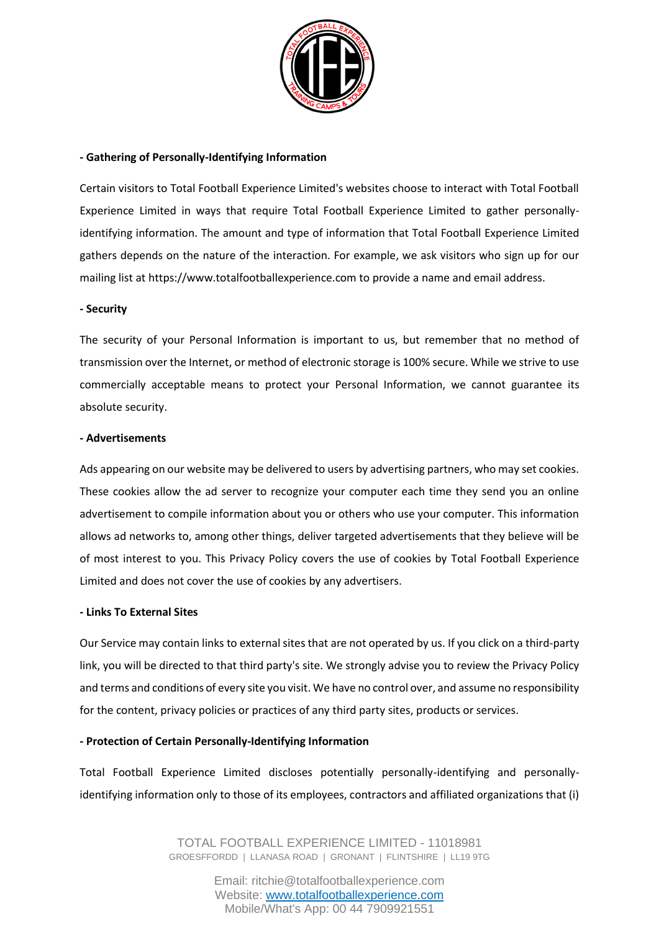

# **- Gathering of Personally-Identifying Information**

Certain visitors to Total Football Experience Limited's websites choose to interact with Total Football Experience Limited in ways that require Total Football Experience Limited to gather personallyidentifying information. The amount and type of information that Total Football Experience Limited gathers depends on the nature of the interaction. For example, we ask visitors who sign up for our mailing list at https://www.totalfootballexperience.com to provide a name and email address.

### **- Security**

The security of your Personal Information is important to us, but remember that no method of transmission over the Internet, or method of electronic storage is 100% secure. While we strive to use commercially acceptable means to protect your Personal Information, we cannot guarantee its absolute security.

### **- Advertisements**

Ads appearing on our website may be delivered to users by advertising partners, who may set cookies. These cookies allow the ad server to recognize your computer each time they send you an online advertisement to compile information about you or others who use your computer. This information allows ad networks to, among other things, deliver targeted advertisements that they believe will be of most interest to you. This Privacy Policy covers the use of cookies by Total Football Experience Limited and does not cover the use of cookies by any advertisers.

#### **- Links To External Sites**

Our Service may contain links to external sites that are not operated by us. If you click on a third-party link, you will be directed to that third party's site. We strongly advise you to review the Privacy Policy and terms and conditions of every site you visit. We have no control over, and assume no responsibility for the content, privacy policies or practices of any third party sites, products or services.

# **- Protection of Certain Personally-Identifying Information**

Total Football Experience Limited discloses potentially personally-identifying and personallyidentifying information only to those of its employees, contractors and affiliated organizations that (i)

> TOTAL FOOTBALL EXPERIENCE LIMITED - 11018981 GROESFFORDD | LLANASA ROAD | GRONANT | FLINTSHIRE | LL19 9TG

> > Email: ritchie@totalfootballexperience.com Website: [www.totalfootballexperience.com](http://www.totalfootballexperience.com/) Mobile/What's App: 00 44 7909921551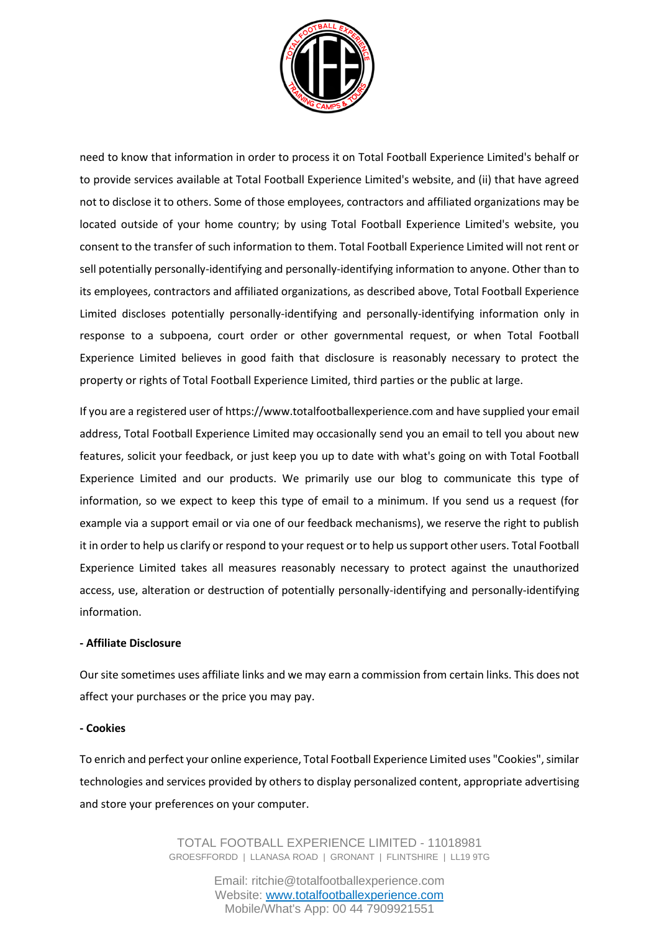

need to know that information in order to process it on Total Football Experience Limited's behalf or to provide services available at Total Football Experience Limited's website, and (ii) that have agreed not to disclose it to others. Some of those employees, contractors and affiliated organizations may be located outside of your home country; by using Total Football Experience Limited's website, you consent to the transfer of such information to them. Total Football Experience Limited will not rent or sell potentially personally-identifying and personally-identifying information to anyone. Other than to its employees, contractors and affiliated organizations, as described above, Total Football Experience Limited discloses potentially personally-identifying and personally-identifying information only in response to a subpoena, court order or other governmental request, or when Total Football Experience Limited believes in good faith that disclosure is reasonably necessary to protect the property or rights of Total Football Experience Limited, third parties or the public at large.

If you are a registered user of https://www.totalfootballexperience.com and have supplied your email address, Total Football Experience Limited may occasionally send you an email to tell you about new features, solicit your feedback, or just keep you up to date with what's going on with Total Football Experience Limited and our products. We primarily use our blog to communicate this type of information, so we expect to keep this type of email to a minimum. If you send us a request (for example via a support email or via one of our feedback mechanisms), we reserve the right to publish it in order to help us clarify or respond to your request or to help us support other users. Total Football Experience Limited takes all measures reasonably necessary to protect against the unauthorized access, use, alteration or destruction of potentially personally-identifying and personally-identifying information.

# **- Affiliate Disclosure**

Our site sometimes uses affiliate links and we may earn a commission from certain links. This does not affect your purchases or the price you may pay.

# **- Cookies**

To enrich and perfect your online experience, Total Football Experience Limited uses "Cookies", similar technologies and services provided by others to display personalized content, appropriate advertising and store your preferences on your computer.

> TOTAL FOOTBALL EXPERIENCE LIMITED - 11018981 GROESFFORDD | LLANASA ROAD | GRONANT | FLINTSHIRE | LL19 9TG

> > Email: ritchie@totalfootballexperience.com Website: [www.totalfootballexperience.com](http://www.totalfootballexperience.com/) Mobile/What's App: 00 44 7909921551